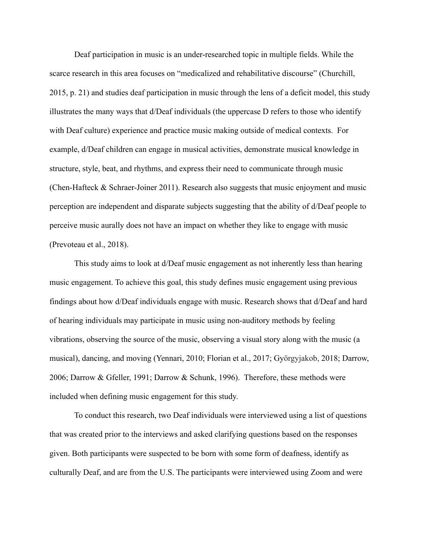Deaf participation in music is an under-researched topic in multiple fields. While the scarce research in this area focuses on "medicalized and rehabilitative discourse" (Churchill, 2015, p. 21) and studies deaf participation in music through the lens of a deficit model, this study illustrates the many ways that d/Deaf individuals (the uppercase D refers to those who identify with Deaf culture) experience and practice music making outside of medical contexts. For example, d/Deaf children can engage in musical activities, demonstrate musical knowledge in structure, style, beat, and rhythms, and express their need to communicate through music (Chen-Hafteck  $\&$  Schraer-Joiner 2011). Research also suggests that music enjoyment and music perception are independent and disparate subjects suggesting that the ability of d/Deaf people to perceive music aurally does not have an impact on whether they like to engage with music (Prevoteau et al., 2018).

This study aims to look at d/Deaf music engagement as not inherently less than hearing music engagement. To achieve this goal, this study defines music engagement using previous findings about how d/Deaf individuals engage with music. Research shows that d/Deaf and hard of hearing individuals may participate in music using non-auditory methods by feeling vibrations, observing the source of the music, observing a visual story along with the music (a musical), dancing, and moving (Yennari, 2010; Florian et al., 2017; Györgyjakob, 2018; Darrow, 2006; Darrow & Gfeller, 1991; Darrow & Schunk, 1996). Therefore, these methods were included when defining music engagement for this study.

To conduct this research, two Deaf individuals were interviewed using a list of questions that was created prior to the interviews and asked clarifying questions based on the responses given. Both participants were suspected to be born with some form of deafness, identify as culturally Deaf, and are from the U.S. The participants were interviewed using Zoom and were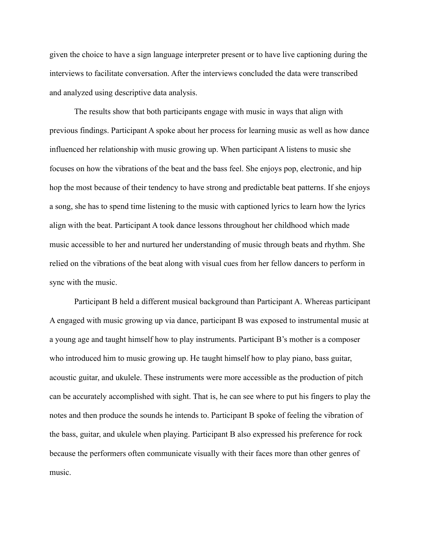given the choice to have a sign language interpreter present or to have live captioning during the interviews to facilitate conversation. After the interviews concluded the data were transcribed and analyzed using descriptive data analysis.

The results show that both participants engage with music in ways that align with previous findings. Participant A spoke about her process for learning music as well as how dance influenced her relationship with music growing up. When participant A listens to music she focuses on how the vibrations of the beat and the bass feel. She enjoys pop, electronic, and hip hop the most because of their tendency to have strong and predictable beat patterns. If she enjoys a song, she has to spend time listening to the music with captioned lyrics to learn how the lyrics align with the beat. Participant A took dance lessons throughout her childhood which made music accessible to her and nurtured her understanding of music through beats and rhythm. She relied on the vibrations of the beat along with visual cues from her fellow dancers to perform in sync with the music.

Participant B held a different musical background than Participant A. Whereas participant A engaged with music growing up via dance, participant B was exposed to instrumental music at a young age and taught himself how to play instruments. Participant B's mother is a composer who introduced him to music growing up. He taught himself how to play piano, bass guitar, acoustic guitar, and ukulele. These instruments were more accessible as the production of pitch can be accurately accomplished with sight. That is, he can see where to put his fingers to play the notes and then produce the sounds he intends to. Participant B spoke of feeling the vibration of the bass, guitar, and ukulele when playing. Participant B also expressed his preference for rock because the performers often communicate visually with their faces more than other genres of music.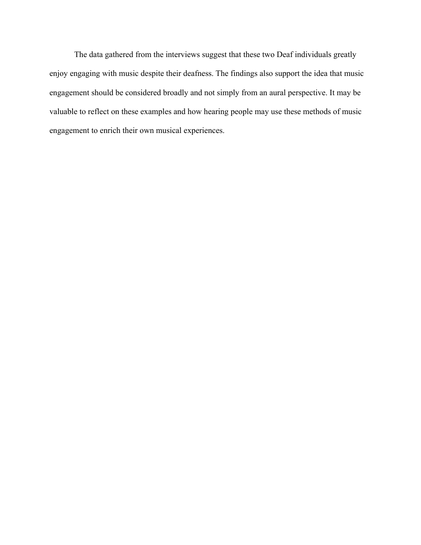The data gathered from the interviews suggest that these two Deaf individuals greatly enjoy engaging with music despite their deafness. The findings also support the idea that music engagement should be considered broadly and not simply from an aural perspective. It may be valuable to reflect on these examples and how hearing people may use these methods of music engagement to enrich their own musical experiences.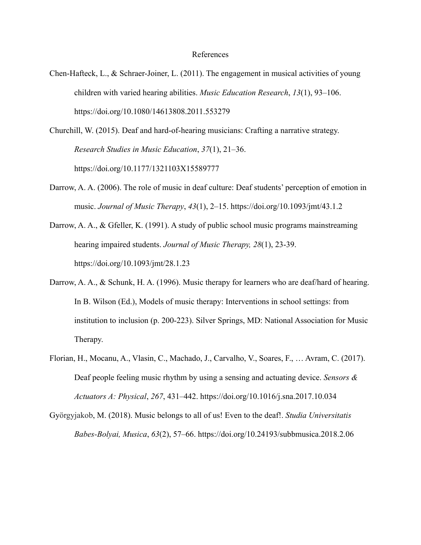## References

- Chen-Hafteck, L., & Schraer-Joiner, L. (2011). The engagement in musical activities of young children with varied hearing abilities. *Music Education Research*, *13*(1), 93–106. https://doi.org/10.1080/14613808.2011.553279
- Churchill, W. (2015). Deaf and hard-of-hearing musicians: Crafting a narrative strategy. *Research Studies in Music Education*, *37*(1), 21–36. https://doi.org/10.1177/1321103X15589777
- Darrow, A. A. (2006). The role of music in deaf culture: Deaf students' perception of emotion in music. *Journal of Music Therapy*, *43*(1), 2–15. https://doi.org/10.1093/jmt/43.1.2
- Darrow, A. A., & Gfeller, K. (1991). A study of public school music programs mainstreaming hearing impaired students. *Journal of Music Therapy, 28*(1), 23-39. https://doi.org/10.1093/jmt/28.1.23
- Darrow, A. A., & Schunk, H. A. (1996). Music therapy for learners who are deaf/hard of hearing. In B. Wilson (Ed.), Models of music therapy: Interventions in school settings: from institution to inclusion (p. 200-223). Silver Springs, MD: National Association for Music Therapy.
- Florian, H., Mocanu, A., Vlasin, C., Machado, J., Carvalho, V., Soares, F., … Avram, C. (2017). Deaf people feeling music rhythm by using a sensing and actuating device. *Sensors & Actuators A: Physical*, *267*, 431–442. https://doi.org/10.1016/j.sna.2017.10.034
- Györgyjakob, M. (2018). Music belongs to all of us! Even to the deaf!. *Studia Universitatis Babes-Bolyai, Musica*, *63*(2), 57–66. https://doi.org/10.24193/subbmusica.2018.2.06